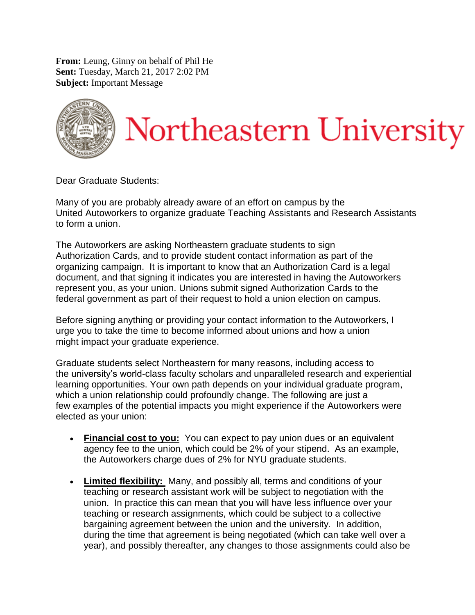**From:** Leung, Ginny on behalf of Phil He **Sent:** Tuesday, March 21, 2017 2:02 PM **Subject:** Important Message



Dear Graduate Students:

Many of you are probably already aware of an effort on campus by the United Autoworkers to organize graduate Teaching Assistants and Research Assistants to form a union.

The Autoworkers are asking Northeastern graduate students to sign Authorization Cards, and to provide student contact information as part of the organizing campaign. It is important to know that an Authorization Card is a legal document, and that signing it indicates you are interested in having the Autoworkers represent you, as your union. Unions submit signed Authorization Cards to the federal government as part of their request to hold a union election on campus.

Before signing anything or providing your contact information to the Autoworkers, I urge you to take the time to become informed about unions and how a union might impact your graduate experience.

Graduate students select Northeastern for many reasons, including access to the university's world-class faculty scholars and unparalleled research and experiential learning opportunities. Your own path depends on your individual graduate program, which a union relationship could profoundly change. The following are just a few examples of the potential impacts you might experience if the Autoworkers were elected as your union:

- **Financial cost to you:** You can expect to pay union dues or an equivalent agency fee to the union, which could be 2% of your stipend. As an example, the Autoworkers charge dues of 2% for NYU graduate students.
- **Limited flexibility:** Many, and possibly all, terms and conditions of your teaching or research assistant work will be subject to negotiation with the union. In practice this can mean that you will have less influence over your teaching or research assignments, which could be subject to a collective bargaining agreement between the union and the university. In addition, during the time that agreement is being negotiated (which can take well over a year), and possibly thereafter, any changes to those assignments could also be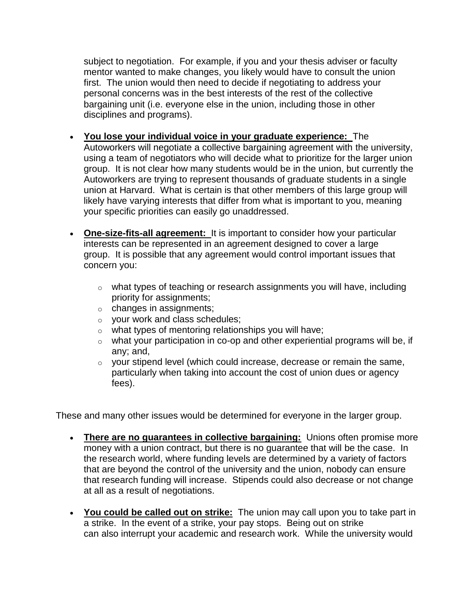subject to negotiation. For example, if you and your thesis adviser or faculty mentor wanted to make changes, you likely would have to consult the union first. The union would then need to decide if negotiating to address your personal concerns was in the best interests of the rest of the collective bargaining unit (i.e. everyone else in the union, including those in other disciplines and programs).

- **You lose your individual voice in your graduate experience:** The Autoworkers will negotiate a collective bargaining agreement with the university, using a team of negotiators who will decide what to prioritize for the larger union group. It is not clear how many students would be in the union, but currently the Autoworkers are trying to represent thousands of graduate students in a single union at Harvard. What is certain is that other members of this large group will likely have varying interests that differ from what is important to you, meaning your specific priorities can easily go unaddressed.
- **One-size-fits-all agreement:** It is important to consider how your particular interests can be represented in an agreement designed to cover a large group. It is possible that any agreement would control important issues that concern you:
	- $\circ$  what types of teaching or research assignments you will have, including priority for assignments;
	- o changes in assignments;
	- o your work and class schedules;
	- o what types of mentoring relationships you will have;
	- o what your participation in co-op and other experiential programs will be, if any; and,
	- o your stipend level (which could increase, decrease or remain the same, particularly when taking into account the cost of union dues or agency fees).

These and many other issues would be determined for everyone in the larger group.

- **There are no guarantees in collective bargaining:** Unions often promise more money with a union contract, but there is no guarantee that will be the case. In the research world, where funding levels are determined by a variety of factors that are beyond the control of the university and the union, nobody can ensure that research funding will increase. Stipends could also decrease or not change at all as a result of negotiations.
- **You could be called out on strike:** The union may call upon you to take part in a strike. In the event of a strike, your pay stops. Being out on strike can also interrupt your academic and research work. While the university would